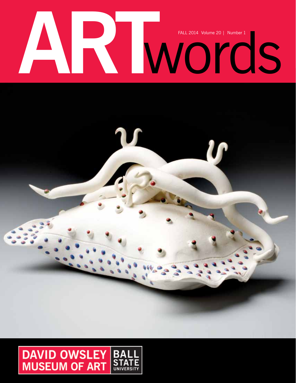# FALL 2014 Volume 20 | Number 1

 $\overline{\mathbf{r}}$ 

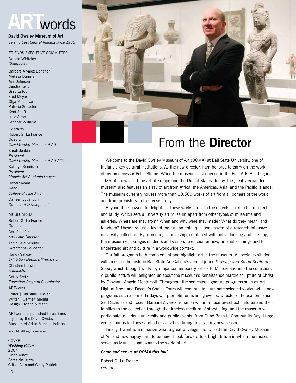# words

**David Owsley Museum of Art** *Serving East Central Indiana since 1936*

### FRIENDS EXECUTIVE COMMITTEE

Donald Whitaker *Chairperson*

Barbara Alvarez Bohanon Melissa Daniels Ann Johnson Sandra Kelly Brad LaTour Fred Meyer Olga Mounayar Patricia Schaefer Kent Shuff Julie Stroh Jennifer Williams

*Ex officio* Robert G. La France *Director David Owsley Museum of Art* Sarah Jenkins *President David Owsley Museum of Art Alliance* Kathryn Kennison *President Muncie Art Students League* Robert Kvam *Dean College of Fine Arts* Darleen Lugenbuhl *Director of Development*

### **MUSEUM STAFF**

Robert G. La France *Director* Carl Schafer *Associate Director* Tania Said Schuler *Director of Education* Randy Salway *Exhibition Designer/Preparator* Christine Lussier *Administrator* Cathy Bretz *Education Program Coordinator* ARTwords Editor | Christine Lussier Writer | Carmen Siering Design | Marin & Marin

ARTwords is published three times a year by the David Owsley Museum of Art in Muncie, Indiana

©2014. All rights reserved

COVER: *Wedding Pillow* 2004 Linda Arndt Porcelain, glaze Gift of Alan and Cindy Patrick



# From the **Director**

Welcome to the David Owsley Museum of Art (DOMA) at Ball State University, one of Indiana's key cultural institutions. As the new director, I am honored to carry on the work of my predecessor Peter Blume. When the museum first opened in the Fine Arts Building in 1935, it showcased the art of Europe and the United States. Today, the greatly expanded museum also features an array of art from Africa, the Americas, Asia, and the Pacific Islands. The museum currently houses more than 10,500 works of art from all corners of the world and from prehistory to the present day.

Beyond their powers to delight us, these works are also the objects of extended research and study, which sets a university art museum apart from other types of museums and galleries. Where are they from? When and why were they made? What do they mean, and to whom? These are just a few of the fundamental questions asked of a research-intensive university collection. By promoting scholarship, combined with active looking and learning, the museum encourages students and visitors to encounter new, unfamiliar things and to understand art and culture in a worldwide context.

 Our fall programs both complement and highlight art in the museum. A special exhibition will focus on the historic Ball State Art Gallery's annual juried *Drawing and Small Sculpture Show*, which brought works by major contemporary artists to Muncie and into the collection. A public lecture will enlighten us about the museum's Renaissance marble sculpture of Christ by Giovanni Angelo Montorsoli. Throughout the semester, signature programs such as Art High at Noon and Docent's Choice Tours will continue to illuminate selected works, while new programs such as Final Fridays will promote fun evening events. Director of Education Tania Said Schuler and docent Barbara Alvarez Bohanon will introduce preschool children and their families to the collection through the timeless medium of storytelling, and the museum will participate in various university and public events, from Quad Bash to Community Day. I urge you to join us for these and other activities during this exciting new season.

Finally, I want to emphasize what a great privilege it is to lead the David Owsley Museum of Art and how happy I am to be here. I look forward to a bright future in which the museum serves as Muncie's gateway to the world of art.

### *Come and see us at DOMA this fall!*

Robert G. La France *Director*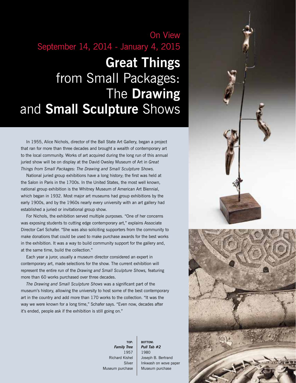# On View September 14, 2014 - January 4, 2015

# **Great Things** from Small Packages: The **Drawing** and **Small Sculpture** Shows

 In 1955, Alice Nichols, director of the Ball State Art Gallery, began a project that ran for more than three decades and brought a wealth of contemporary art to the local community. Works of art acquired during the long run of this annual juried show will be on display at the David Owsley Museum of Art in *Great Things from Small Packages: The Drawing and Small Sculpture Shows.*

National juried group exhibitions have a long history; the first was held at the Salon in Paris in the 1700s. In the United States, the most well known, national group exhibition is the Whitney Museum of American Art Biennial, which began in 1932. Most major art museums had group exhibitions by the early 1900s, and by the 1960s nearly every university with an art gallery had established a juried or invitational group show.

For Nichols, the exhibition served multiple purposes. "One of her concerns was exposing students to cutting edge contemporary art," explains Associate Director Carl Schafer. "She was also soliciting supporters from the community to make donations that could be used to make purchase awards for the best works in the exhibition. It was a way to build community support for the gallery and, at the same time, build the collection."

 Each year a juror, usually a museum director considered an expert in contemporary art, made selections for the show. The current exhibition will represent the entire run of the *Drawing and Small Sculpture Shows,* featuring more than 60 works purchased over three decades.

*The Drawing and Small Sculpture Shows* was a significant part of the museum's history, allowing the university to host some of the best contemporary art in the country and add more than 170 works to the collection. "It was the way we were known for a long time," Schafer says. "Even now, decades after it's ended, people ask if the exhibition is still going on."

> **TOP:** *Family Tree* 1957 Richard Kishel Silver Museum purchase

**bottom:** *Pull Tab #2* 1980 Joseph B. Bertrand Inkwash on wove paper Museum purchase

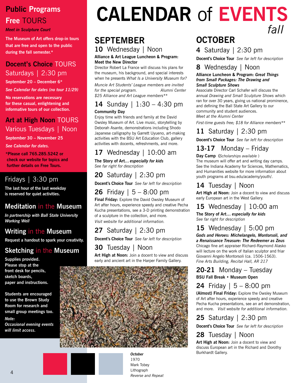# **Public Programs Free TOURS**

*Meet in Sculpture Court*

**The Museum of Art offers drop-in tours that are free and open to the public during the fall semester.\***

# **Docent's Choice** TOURS Saturdays | 2:30 pm

**September 20 – December 6\***

*See Calendar for dates (no tour 11/29)*

**No reservations are necessary for these casual, enlightening and informative tours of our collection.**

### **Art at High Noon** TOURS Various Tuesdays | Noon

**September 30 – November 25**

*See Calendar for dates.*

**\*Please call 765.285.5242 or check our website for topics and further details on Free Tours.**

# Fridays | 3:30 pm

**The last hour of the last weekday is reserved for quiet activities.**

### **Meditation** in the **Museum**

*In partnership with Ball State University Working Well*

### **Writing** in the **Museum**

**Request a handout to spark your creativity.**

# **Sketching** in the **Museum**

**Supplies provided. Please stop at the front desk for pencils, sketch boards, paper and instructions.** 

**Students are encouraged to use the Brown Study Room for research and small group meetings too.**  *Note:* 

*Occasional evening events will limit access.*

# **Calendar** of **Events** *fall*

# **september**

# **10** Wednesday | Noon

**Alliance & Art League Luncheon & Program: Meet the New Director**

Director Robert La France will discuss his plans for the museum, his background, and special interests when he presents *What Is a University Museum for?* 

*Muncie Art Students' League members are invited for the special program. Alumni Center \$25 Alliance and Art League members\*\**

### **14** Sunday | 1:30 – 4:30 pm **Community Day**

Enjoy time with friends and family at the David Owsley Museum of Art. Live music, storytelling by Deborah Asante, demonstrations including Shodo Japanese calligraphy by Garrett Uyueno, art-making activities with the BSU Art Education Club, gallery activities with docents, refreshments, and more.

# **17** Wednesday | 10:00 am

**The Story of Art***… especially for kids See far right for description*

# **20** Saturday | 2:30 pm

**Docent's Choice Tour** *See far left for description*

# **26** Friday | 5 – 8:00 pm

**Final Friday:** Explore the David Owsley Museum of Art after hours, experience speedy and creative Pecha Kucha presentations, see a 3-D printing demonstration of a sculpture in the collection, and more. *Visit website for additional information.*

# **27** Saturday | 2:30 pm

**Docent's Choice Tour** *See far left for description*

### **30** Tuesday | Noon

**Art High at Noon:** Join a docent to view and discuss early and ancient art in the Harper Family Gallery.



*October* 1970 Mark Tobey Lithograph *Reverse and Repeat*

# **october**

**4** Saturday | 2:30 pm

**Docent's Choice Tour** *See far left for description*

# **8** Wednesday | Noon

**Alliance Luncheon & Program:** *Great Things from Small Packages: The Drawing and Small Sculpture Shows* 

Associate Director Carl Schafer will discuss the annual *Drawing and Small Sculpture Shows* which ran for over 30 years, giving us national prominence, and defining the Ball State Art Gallery to our community and student audiences. *Meet at the Alumni Center*

*First-time guests free; \$18 for Alliance members\*\**

# **11** Saturday | 2:30 pm

**Docent's Choice Tour** *See far left for description*

# **13-17** Monday – Friday

**Day Camp (***Scholarships available* ) The museum will offer art and writing day camps. See the Indiana Academy for Sciences, Mathematics, and Humanities website for more information about youth programs at bsu.edu/academy/youth/.

# **14** Tuesday | Noon

**Art High at Noon:** Join a docent to view and discuss early European art in the West Gallery.

# **15** Wednesday | 10:00 am

**The Story of Art…** *especially for kids See far right for description* 

# **15** Wednesday | 5:00 pm

*Gods and Heroes: Michelangelo, Montorsoli, and a Renaissance Treasure: The Redeemer as Zeus* Chicago fine art appraiser Richard-Raymond Alasko will lecture on the work of Italian sculptor and friar Giovanni Angelo Montorsoli (ca. 1506-1563). *Fine Arts Building, Recital Hall, AR 217*

### **20-21** Monday – Tuesday **BSU Fall Break • Museum Open**

# **24** Friday | 5 – 8:00 pm

**(Almost) Final Friday:** Explore the Owsley Museum of Art after hours, experience speedy and creative Pecha Kucha presentations, see an art demonstration, and more. *Visit website for additional information.*

### **25** Saturday | 2:30 pm

**Docent's Choice Tour** *See far left for description*

# **28** Tuesday | Noon

**Art High at Noon:** Join a docent to view and discuss European art in the Richard and Dorothy Burkhardt Gallery.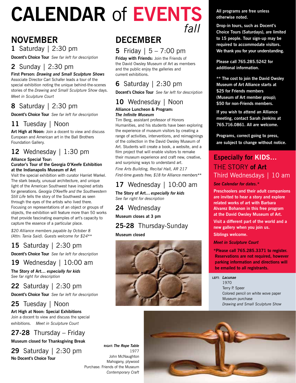# **Calendar** of **Events** *fall*

# **november**

### **1** Saturday | 2:30 pm

**Docent's Choice Tour** *See far left for description*

### **2** Sunday | 2:30 pm

### **First Person:** *Drawing and Small Sculpture Shows*

Associate Director Carl Schafer leads a tour of the special exhibition noting the unique behind-the-scenes stories of the *Drawing and Small Sculpture Show* days. *Meet in Sculpture Court*

# **8** Saturday | 2:30 pm

**Docent's Choice Tour** *See far left for description*

### **11** Tuesday | Noon

**Art High at Noon:** Join a docent to view and discuss European and American art in the Ball Brothers Foundation Gallery.

# **12** Wednesday | 1:30 pm

### **Alliance Special Tour:**

### **Curator's Tour of the Georgia O'Keefe Exhibition at the Indianapolis Museum of Art**

Visit the special exhibition with curator Harriet Warkel. The stark beauty, unusual architecture, and unique light of the American Southwest have inspired artists for generations. *Georgia O'Keeffe and the Southwestern Still Life* tells the story of the Southwest as seen through the eyes of the artists who lived there. Focusing on representations of an object or groups of objects, the exhibition will feature more than 50 works that provide fascinating examples of art's capacity to capture the essence of a particular place.

*\$20 Alliance members payable by October 8 (Attn: Tania Said). Guests welcome for \$24\*\**

# **15** Saturday | 2:30 pm

**Docent's Choice Tour** *See far left for description*

### **19** Wednesday | 10:00 am

**The Story of Art…** *especially for kids See far right for description* 

### **22** Saturday | 2:30 pm

**Docent's Choice Tour** *See far left for description*

### **25** Tuesday | Noon

**Art High at Noon: Special Exhibitions** Join a docent to view and discuss the special exhibitions. *Meet in Sculpture Court*

# **27-28** Thursday – Friday

**Museum closed for Thanksgiving Break**

**29** Saturday | 2:30 pm **No Docent's Choice Tour** 

# **december**

### **5** Friday | 5 – 7:00 pm

**Friday with Friends:** Join the Friends of the David Owsley Museum of Art as members and the public enjoy the galleries and current exhibitions.

# **6** Saturday | 2:30 pm

**Docent's Choice Tour** *See far left for description*

### **10** Wednesday | Noon

### **Alliance Luncheon & Program:** *The Infinite Museum*

Tim Berg, assistant professor of Honors Humanities, and his students have been exploring the experience of museum visitors by creating a range of activities, interventions, and reimaginings of the collection in the David Owsley Museum of Art. Students will create a book, a website, and a film project that will enable visitors to remake their museum experience and craft new, creative, and surprising ways to understand art.

*Fine Arts Building, Recital Hall, AR 217 First-time guests free; \$18 for Alliance members\*\**

### **17** Wednesday | 10:00 am

**The Story of Art…** *especially for kids See far right for description* 

### **24** Wednesday **Museum closes at 3 pm**

# **25-28** Thursday-Sunday

**Museum closed**



**All programs are free unless otherwise noted.** 

**Drop-in tours, such as Docent's Choice Tours (Saturdays), are limited to 15 people. Tour sign-up may be required to accommodate visitors. We thank you for your understanding.**

**Please call 765.285.5242 for additional information.**

**\*\* The cost to join the David Owsley Museum of Art Alliance starts at \$25 for Friends members (Museum of Art member group); \$50 for non-Friends members.** 

**If you wish to attend an Alliance meeting, contact Sarah Jenkins at 765.716.0861. All are welcome.**

**Programs, correct going to press, are subject to change without notice.** 

### **Especially for KIDS…** The Story **of Art**  Third Wednesdays | 10 am

*See Calendar for dates.\**

**Preschoolers and their adult companions are invited to hear a story and explore related works of art with Barbara Alvarez Bohanon in this free program at the David Owsley Museum of Art.** 

**Visit a different part of the world and a new gallery when you join us. Siblings welcome.** 

### *Meet in Sculpture Court*

**\*Please call 765.285.3371 to register. Reservations are not required, however parking information and directions will be emailed to all registrants.** 

### **left:** *Lacunae*

1970 Terry P. Speer Colored pencil on white wove paper Museum purchase *Drawing and Small Sculpture Show*

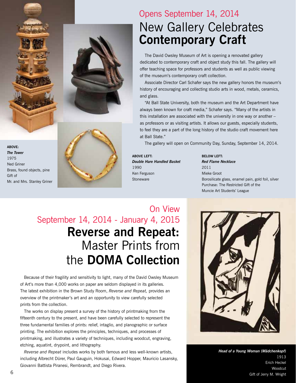





# Opens September 14, 2014 New Gallery Celebrates **Contemporary Craft**

 The David Owsley Museum of Art is opening a renovated gallery dedicated to contemporary craft and object study this fall. The gallery will offer teaching space for professors and students as well as public viewing of the museum's contemporary craft collection.

Associate Director Carl Schafer says the new gallery honors the museum's history of encouraging and collecting studio arts in wood, metals, ceramics, and glass.

"At Ball State University, both the museum and the Art Department have always been known for craft media," Schafer says. "Many of the artists in this installation are associated with the university in one way or another – as professors or as visiting artists. It allows our guests, especially students, to feel they are a part of the long history of the studio craft movement here at Ball State."

The gallery will open on Community Day, Sunday, September 14, 2014.

**ABOVE lefT:** *Double Hare Handled Basket* 1990 Ken Ferguson **Stoneware** 

**BELOW left:** *Red Flame Necklace* 2011 Mieke Groot Borosilicate glass, enamel pain, gold foil, silver Purchase: The Restricted Gift of the Muncie Art Students' League

On View September 14, 2014 - January 4, 2015 **Reverse and Repeat:** Master Prints from the **DOMA Collection**

Because of their fragility and sensitivity to light, many of the David Owsley Museum of Art's more than 4,000 works on paper are seldom displayed in its galleries. The latest exhibition in the Brown Study Room, *Reverse and Repeat,* provides an overview of the printmaker's art and an opportunity to view carefully selected prints from the collection.

 The works on display present a survey of the history of printmaking from the fifteenth century to the present, and have been carefully selected to represent the three fundamental families of prints: relief, intaglio, and planographic or surface printing. The exhibition explores the principles, techniques, and processes of printmaking, and illustrates a variety of techniques, including woodcut, engraving, etching, aquatint, drypoint, and lithography.

*Reverse and Repeat* includes works by both famous and less well-known artists, including Albrecht Dürer, Paul Gauguin, Hokusai, Edward Hopper, Mauricio Lasansky, Giovanni Battista Piranesi, Rembrandt, and Diego Rivera.



*Head of a Young Woman (Mädchenkopf)* 1913 Erich Heckel **Woodcut** Gift of Jerry M. Wright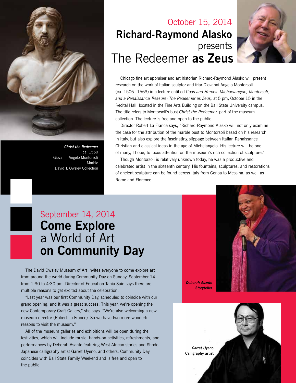

*Christ the Redeemer* ca. 1550 Giovanni Angelo Montorsoli Marble David T. Owsley Collection

# The Redeemer **as Zeus** October 15, 2014 **Richard-Raymond Alasko** presents



Chicago fine art appraiser and art historian Richard-Raymond Alasko will present research on the work of Italian sculptor and friar Giovanni Angelo Montorsoli (ca. 1506 –1563) in a lecture entitled *Gods and Heroes: Michaelangelo, Montorsoli, and a Renaissance Treasure: The Redeemer as Zeus,* at 5 pm, October 15 in the Recital Hall, located in the Fine Arts Building on the Ball State University campus. The title refers to Montorsoli's bust *Christ the Redeemer,* part of the museum collection. The lecture is free and open to the public.

 Director Robert La France says, "Richard-Raymond Alasko will not only examine the case for the attribution of the marble bust to Montorsoli based on his research in Italy, but also explore the fascinating slippage between Italian Renaissance Christian and classical ideas in the age of Michelangelo. His lecture will be one of many, I hope, to focus attention on the museum's rich collection of sculpture."

 Though Montorsoli is relatively unknown today, he was a productive and celebrated artist in the sixteenth century. His fountains, sculptures, and restorations of ancient sculpture can be found across Italy from Genoa to Messina, as well as Rome and Florence.

# September 14, 2014 **Come Explore** a World of Art **on Community Day**

 The David Owsley Museum of Art invites everyone to come explore art from around the world during Community Day on Sunday, September 14 from 1:30 to 4:30 pm. Director of Education Tania Said says there are multiple reasons to get excited about the celebration.

"Last year was our first Community Day, scheduled to coincide with our grand opening, and it was a great success. This year, we're opening the new Contemporary Craft Gallery," she says. "We're also welcoming a new museum director (Robert La France). So we have two more wonderful reasons to visit the museum."

All of the museum galleries and exhibitions will be open during the festivities, which will include music, hands-on activities, refreshments, and performances by Deborah Asante featuring West African stories and Shodo Japanese calligraphy artist Garret Uyeno, and others. Community Day coincides with Ball State Family Weekend and is free and open to the public.



*Deborah Asante Storyteller*

> *Oracle's Crown* 19th Century

Gabon, Punu People

Unidentified Craftsman, Tibetan, Tibetan, Tibetan, Tibetan, Tibetan, Tibetan, Tibetan, Tibetan, Tibetan, Tibetan, Tibetan, Tibetan, Tibetan, Tibetan, Tibetan, Tibetan, Tibetan, Tibetan, Tibetan, Tibetan, Tibetan, Tibetan, Gift of David T. Owsley

via the Alconda-Owsley Foundation

*Mask for the Okuyi Society (Mukudj)*

 $\overline{\phantom{a}}$ African Craftsman, Central Africa, Southern *Garret Uyeno* **Calligraphy artist**